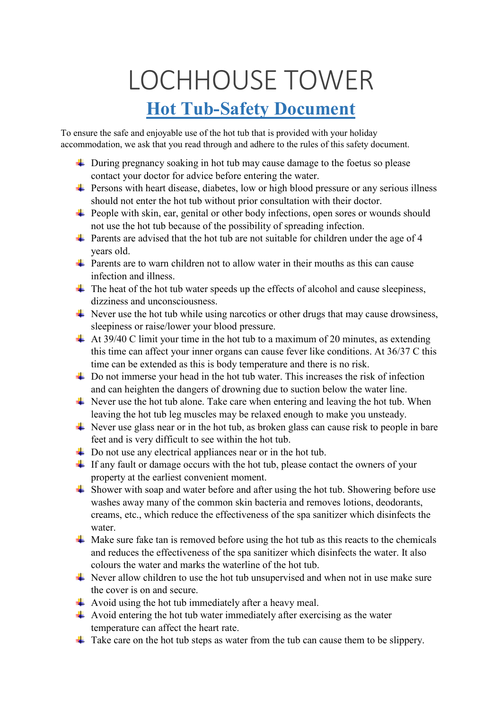## LOCHHOUSE TOWER **Hot Tub-Safety Document**

To ensure the safe and enjoyable use of the hot tub that is provided with your holiday accommodation, we ask that you read through and adhere to the rules of this safety document.

- ↓ During pregnancy soaking in hot tub may cause damage to the foetus so please contact your doctor for advice before entering the water.
- $\ddot{\phantom{1}}$  Persons with heart disease, diabetes, low or high blood pressure or any serious illness should not enter the hot tub without prior consultation with their doctor.
- $\ddot{\bullet}$  People with skin, ear, genital or other body infections, open sores or wounds should not use the hot tub because of the possibility of spreading infection.
- $\ddot{\phantom{1}}$  Parents are advised that the hot tub are not suitable for children under the age of 4 years old.
- $\downarrow$  Parents are to warn children not to allow water in their mouths as this can cause infection and illness.
- $\ddot{\phantom{1}}$  The heat of the hot tub water speeds up the effects of alcohol and cause sleepiness, dizziness and unconsciousness.
- $\ddot{\text{+}}$  Never use the hot tub while using narcotics or other drugs that may cause drowsiness, sleepiness or raise/lower your blood pressure.
- $\pm$  At 39/40 C limit your time in the hot tub to a maximum of 20 minutes, as extending this time can affect your inner organs can cause fever like conditions. At 36/37 C this time can be extended as this is body temperature and there is no risk.
- $\overline{\phantom{a}}$  Do not immerse your head in the hot tub water. This increases the risk of infection and can heighten the dangers of drowning due to suction below the water line.
- $\ddot{\textbf{A}}$  Never use the hot tub alone. Take care when entering and leaving the hot tub. When leaving the hot tub leg muscles may be relaxed enough to make you unsteady.
- $\downarrow$  Never use glass near or in the hot tub, as broken glass can cause risk to people in bare feet and is very difficult to see within the hot tub.
- $\overline{\phantom{a}}$  Do not use any electrical appliances near or in the hot tub.
- $\ddot{\phantom{1}}$  If any fault or damage occurs with the hot tub, please contact the owners of your property at the earliest convenient moment.
- $\ddot{\bullet}$  Shower with soap and water before and after using the hot tub. Showering before use washes away many of the common skin bacteria and removes lotions, deodorants, creams, etc., which reduce the effectiveness of the spa sanitizer which disinfects the water.
- $\overline{\phantom{a}}$  Make sure fake tan is removed before using the hot tub as this reacts to the chemicals and reduces the effectiveness of the spa sanitizer which disinfects the water. It also colours the water and marks the waterline of the hot tub.
- $\overline{\text{L}}$  Never allow children to use the hot tub unsupervised and when not in use make sure the cover is on and secure.
- Avoid using the hot tub immediately after a heavy meal.
- $\overline{\text{4}}$  Avoid entering the hot tub water immediately after exercising as the water temperature can affect the heart rate.
- $\downarrow$  Take care on the hot tub steps as water from the tub can cause them to be slippery.